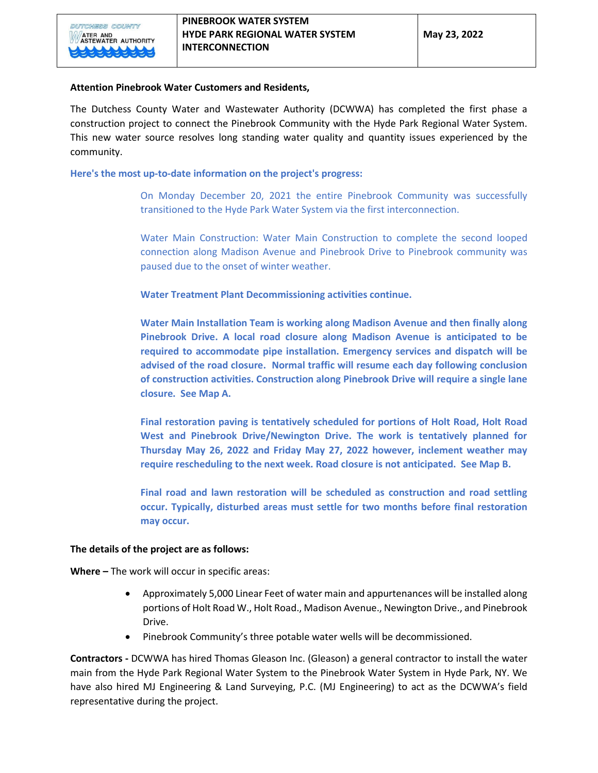## **Attention Pinebrook Water Customers and Residents,**

The Dutchess County Water and Wastewater Authority (DCWWA) has completed the first phase a construction project to connect the Pinebrook Community with the Hyde Park Regional Water System. This new water source resolves long standing water quality and quantity issues experienced by the community.

## **Here's the most up-to-date information on the project's progress:**

On Monday December 20, 2021 the entire Pinebrook Community was successfully transitioned to the Hyde Park Water System via the first interconnection.

Water Main Construction: Water Main Construction to complete the second looped connection along Madison Avenue and Pinebrook Drive to Pinebrook community was paused due to the onset of winter weather.

**Water Treatment Plant Decommissioning activities continue.**

**Water Main Installation Team is working along Madison Avenue and then finally along Pinebrook Drive. A local road closure along Madison Avenue is anticipated to be required to accommodate pipe installation. Emergency services and dispatch will be advised of the road closure. Normal traffic will resume each day following conclusion of construction activities. Construction along Pinebrook Drive will require a single lane closure. See Map A.**

**Final restoration paving is tentatively scheduled for portions of Holt Road, Holt Road West and Pinebrook Drive/Newington Drive. The work is tentatively planned for Thursday May 26, 2022 and Friday May 27, 2022 however, inclement weather may require rescheduling to the next week. Road closure is not anticipated. See Map B.**

**Final road and lawn restoration will be scheduled as construction and road settling occur. Typically, disturbed areas must settle for two months before final restoration may occur.**

## **The details of the project are as follows:**

**Where –** The work will occur in specific areas:

- Approximately 5,000 Linear Feet of water main and appurtenances will be installed along portions of Holt Road W., Holt Road., Madison Avenue., Newington Drive., and Pinebrook Drive.
- Pinebrook Community's three potable water wells will be decommissioned.

**Contractors -** DCWWA has hired Thomas Gleason Inc. (Gleason) a general contractor to install the water main from the Hyde Park Regional Water System to the Pinebrook Water System in Hyde Park, NY. We have also hired MJ Engineering & Land Surveying, P.C. (MJ Engineering) to act as the DCWWA's field representative during the project.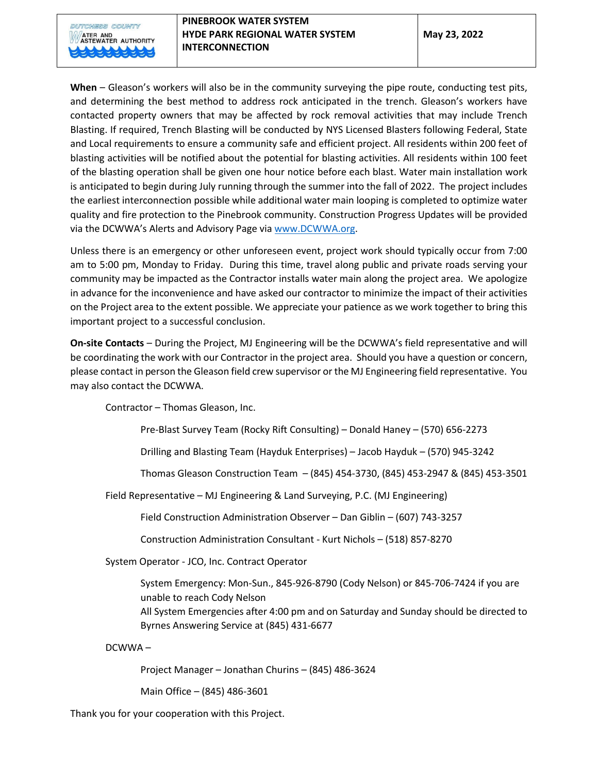**When** – Gleason's workers will also be in the community surveying the pipe route, conducting test pits, and determining the best method to address rock anticipated in the trench. Gleason's workers have contacted property owners that may be affected by rock removal activities that may include Trench Blasting. If required, Trench Blasting will be conducted by NYS Licensed Blasters following Federal, State and Local requirements to ensure a community safe and efficient project. All residents within 200 feet of blasting activities will be notified about the potential for blasting activities. All residents within 100 feet of the blasting operation shall be given one hour notice before each blast. Water main installation work is anticipated to begin during July running through the summer into the fall of 2022. The project includes the earliest interconnection possible while additional water main looping is completed to optimize water quality and fire protection to the Pinebrook community. Construction Progress Updates will be provided via the DCWWA's Alerts and Advisory Page via www.DCWWA.org.

Unless there is an emergency or other unforeseen event, project work should typically occur from 7:00 am to 5:00 pm, Monday to Friday. During this time, travel along public and private roads serving your community may be impacted as the Contractor installs water main along the project area. We apologize in advance for the inconvenience and have asked our contractor to minimize the impact of their activities on the Project area to the extent possible. We appreciate your patience as we work together to bring this important project to a successful conclusion.

**On-site Contacts** – During the Project, MJ Engineering will be the DCWWA's field representative and will be coordinating the work with our Contractor in the project area. Should you have a question or concern, please contact in person the Gleason field crew supervisor or the MJ Engineering field representative. You may also contact the DCWWA.

Contractor – Thomas Gleason, Inc.

Pre-Blast Survey Team (Rocky Rift Consulting) – Donald Haney – (570) 656-2273

Drilling and Blasting Team (Hayduk Enterprises) – Jacob Hayduk – (570) 945-3242

Thomas Gleason Construction Team – (845) 454-3730, (845) 453-2947 & (845) 453-3501

Field Representative – MJ Engineering & Land Surveying, P.C. (MJ Engineering)

Field Construction Administration Observer – Dan Giblin – (607) 743-3257

Construction Administration Consultant - Kurt Nichols – (518) 857-8270

System Operator - JCO, Inc. Contract Operator

System Emergency: Mon-Sun., 845-926-8790 (Cody Nelson) or 845-706-7424 if you are unable to reach Cody Nelson All System Emergencies after 4:00 pm and on Saturday and Sunday should be directed to Byrnes Answering Service at (845) 431-6677

DCWWA –

Project Manager – Jonathan Churins – (845) 486-3624

Main Office – (845) 486-3601

Thank you for your cooperation with this Project.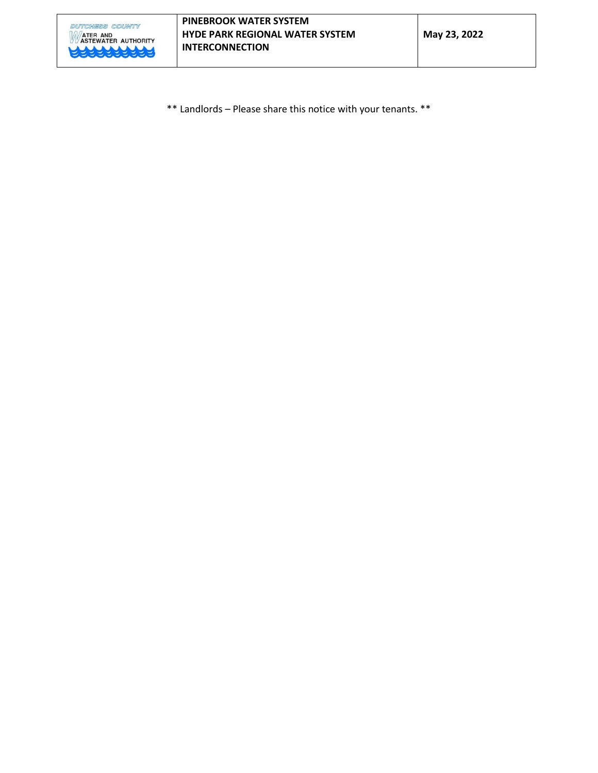

\*\* Landlords – Please share this notice with your tenants. \*\*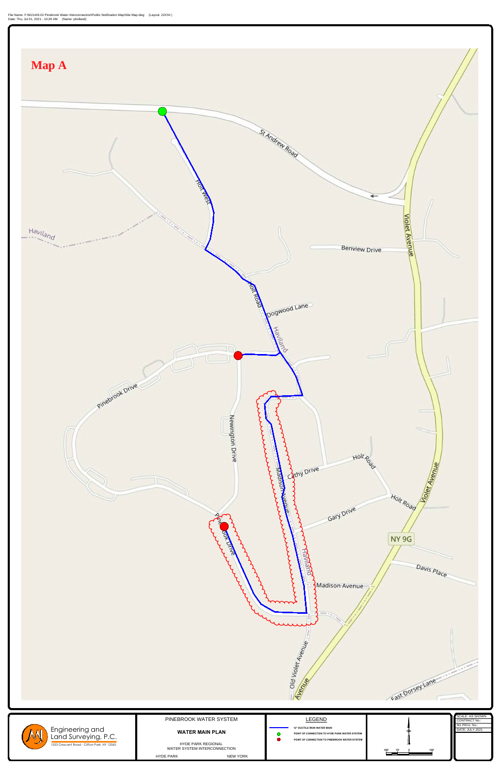